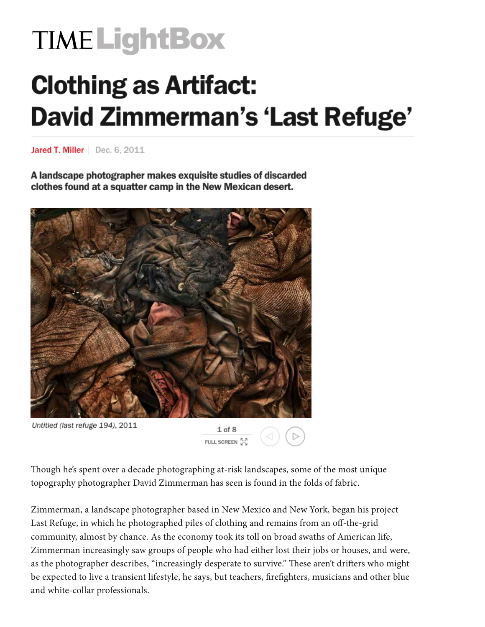## **TIME LightBox**

## **Clothing as Artifact: David Zimmerman's 'Last Refuge'**

Jared T. Miller | Dec. 6, 2011

A landscape photographer makes exquisite studies of discarded clothes found at a squatter camp in the New Mexican desert.



Though he's spent over a decade photographing at-risk landscapes, some of the most unique topography photographer David Zimmerman has seen is found in the folds of fabric.

Zimmerman, a landscape photographer based in New Mexico and New York, began his project Last Refuge, in which he photographed piles of clothing and remains from an off-the-grid community, almost by chance. As the economy took its toll on broad swaths of American life, Zimmerman increasingly saw groups of people who had either lost their jobs or houses, and were, as the photographer describes, "increasingly desperate to survive." These aren't drifters who might be expected to live a transient lifestyle, he says, but teachers, firefighters, musicians and other blue and white-collar professionals.